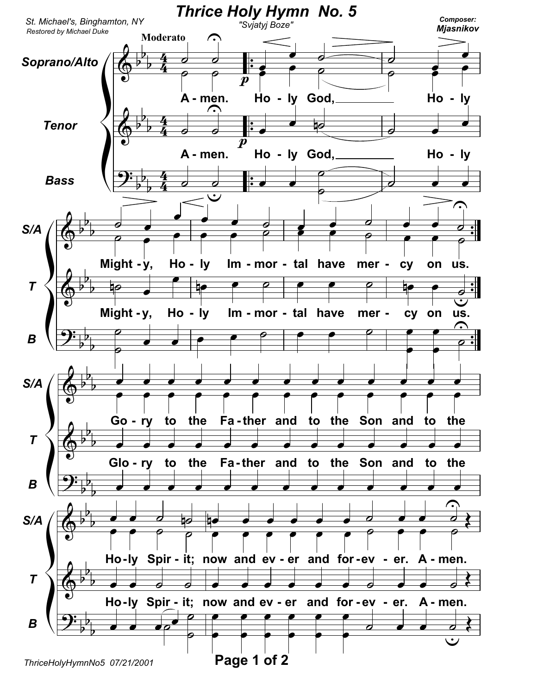